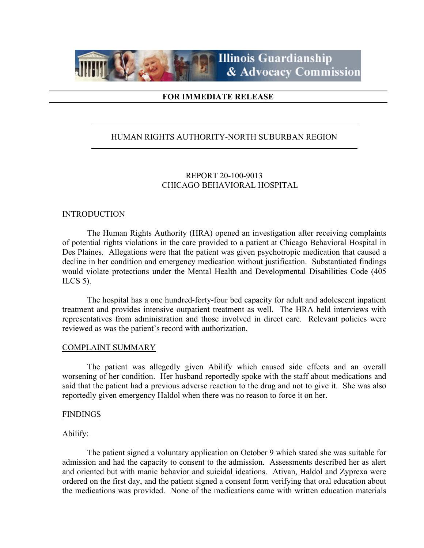

## **FOR IMMEDIATE RELEASE**

## HUMAN RIGHTS AUTHORITY-NORTH SUBURBAN REGION

## REPORT 20-100-9013 CHICAGO BEHAVIORAL HOSPITAL

#### **INTRODUCTION**

The Human Rights Authority (HRA) opened an investigation after receiving complaints of potential rights violations in the care provided to a patient at Chicago Behavioral Hospital in Des Plaines. Allegations were that the patient was given psychotropic medication that caused a decline in her condition and emergency medication without justification. Substantiated findings would violate protections under the Mental Health and Developmental Disabilities Code (405 ILCS 5).

The hospital has a one hundred-forty-four bed capacity for adult and adolescent inpatient treatment and provides intensive outpatient treatment as well. The HRA held interviews with representatives from administration and those involved in direct care. Relevant policies were reviewed as was the patient's record with authorization.

#### COMPLAINT SUMMARY

The patient was allegedly given Abilify which caused side effects and an overall worsening of her condition. Her husband reportedly spoke with the staff about medications and said that the patient had a previous adverse reaction to the drug and not to give it. She was also reportedly given emergency Haldol when there was no reason to force it on her.

#### FINDINGS

## Abilify:

The patient signed a voluntary application on October 9 which stated she was suitable for admission and had the capacity to consent to the admission. Assessments described her as alert and oriented but with manic behavior and suicidal ideations. Ativan, Haldol and Zyprexa were ordered on the first day, and the patient signed a consent form verifying that oral education about the medications was provided. None of the medications came with written education materials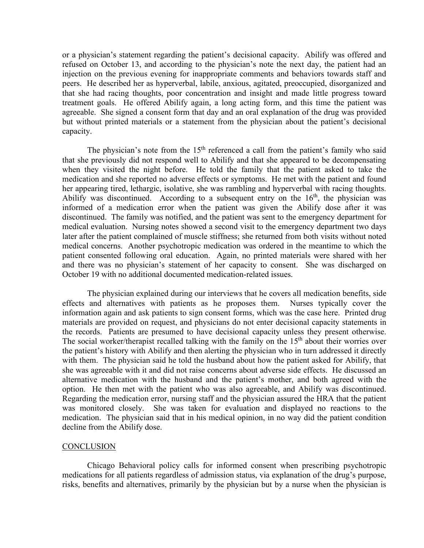or a physician's statement regarding the patient's decisional capacity. Abilify was offered and refused on October 13, and according to the physician's note the next day, the patient had an injection on the previous evening for inappropriate comments and behaviors towards staff and peers. He described her as hyperverbal, labile, anxious, agitated, preoccupied, disorganized and that she had racing thoughts, poor concentration and insight and made little progress toward treatment goals. He offered Abilify again, a long acting form, and this time the patient was agreeable. She signed a consent form that day and an oral explanation of the drug was provided but without printed materials or a statement from the physician about the patient's decisional capacity.

The physician's note from the  $15<sup>th</sup>$  referenced a call from the patient's family who said that she previously did not respond well to Abilify and that she appeared to be decompensating when they visited the night before. He told the family that the patient asked to take the medication and she reported no adverse effects or symptoms. He met with the patient and found her appearing tired, lethargic, isolative, she was rambling and hyperverbal with racing thoughts. Abilify was discontinued. According to a subsequent entry on the  $16<sup>th</sup>$ , the physician was informed of a medication error when the patient was given the Abilify dose after it was discontinued. The family was notified, and the patient was sent to the emergency department for medical evaluation. Nursing notes showed a second visit to the emergency department two days later after the patient complained of muscle stiffness; she returned from both visits without noted medical concerns. Another psychotropic medication was ordered in the meantime to which the patient consented following oral education. Again, no printed materials were shared with her and there was no physician's statement of her capacity to consent. She was discharged on October 19 with no additional documented medication-related issues.

The physician explained during our interviews that he covers all medication benefits, side effects and alternatives with patients as he proposes them. Nurses typically cover the information again and ask patients to sign consent forms, which was the case here. Printed drug materials are provided on request, and physicians do not enter decisional capacity statements in the records. Patients are presumed to have decisional capacity unless they present otherwise. The social worker/therapist recalled talking with the family on the  $15<sup>th</sup>$  about their worries over the patient's history with Abilify and then alerting the physician who in turn addressed it directly with them. The physician said he told the husband about how the patient asked for Abilify, that she was agreeable with it and did not raise concerns about adverse side effects. He discussed an alternative medication with the husband and the patient's mother, and both agreed with the option. He then met with the patient who was also agreeable, and Abilify was discontinued. Regarding the medication error, nursing staff and the physician assured the HRA that the patient was monitored closely. She was taken for evaluation and displayed no reactions to the medication. The physician said that in his medical opinion, in no way did the patient condition decline from the Abilify dose.

## **CONCLUSION**

Chicago Behavioral policy calls for informed consent when prescribing psychotropic medications for all patients regardless of admission status, via explanation of the drug's purpose, risks, benefits and alternatives, primarily by the physician but by a nurse when the physician is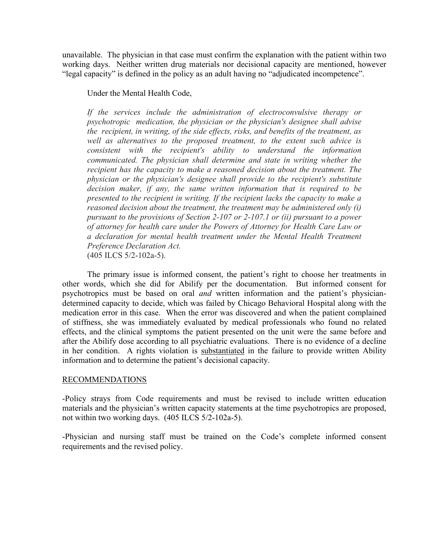unavailable. The physician in that case must confirm the explanation with the patient within two working days. Neither written drug materials nor decisional capacity are mentioned, however "legal capacity" is defined in the policy as an adult having no "adjudicated incompetence".

Under the Mental Health Code,

*If the services include the administration of electroconvulsive therapy or psychotropic medication, the physician or the physician's designee shall advise the recipient, in writing, of the side effects, risks, and benefits of the treatment, as well as alternatives to the proposed treatment, to the extent such advice is consistent with the recipient's ability to understand the information communicated. The physician shall determine and state in writing whether the recipient has the capacity to make a reasoned decision about the treatment. The physician or the physician's designee shall provide to the recipient's substitute decision maker, if any, the same written information that is required to be presented to the recipient in writing. If the recipient lacks the capacity to make a reasoned decision about the treatment, the treatment may be administered only (i) pursuant to the provisions of Section 2-107 or 2-107.1 or (ii) pursuant to a power of attorney for health care under the Powers of Attorney for Health Care Law or a declaration for mental health treatment under the Mental Health Treatment Preference Declaration Act.*  (405 ILCS 5/2-102a-5).

The primary issue is informed consent, the patient's right to choose her treatments in other words, which she did for Abilify per the documentation. But informed consent for psychotropics must be based on oral *and* written information and the patient's physiciandetermined capacity to decide, which was failed by Chicago Behavioral Hospital along with the medication error in this case. When the error was discovered and when the patient complained of stiffness, she was immediately evaluated by medical professionals who found no related effects, and the clinical symptoms the patient presented on the unit were the same before and after the Abilify dose according to all psychiatric evaluations. There is no evidence of a decline in her condition. A rights violation is substantiated in the failure to provide written Ability information and to determine the patient's decisional capacity.

## RECOMMENDATIONS

-Policy strays from Code requirements and must be revised to include written education materials and the physician's written capacity statements at the time psychotropics are proposed, not within two working days. (405 ILCS 5/2-102a-5).

-Physician and nursing staff must be trained on the Code's complete informed consent requirements and the revised policy.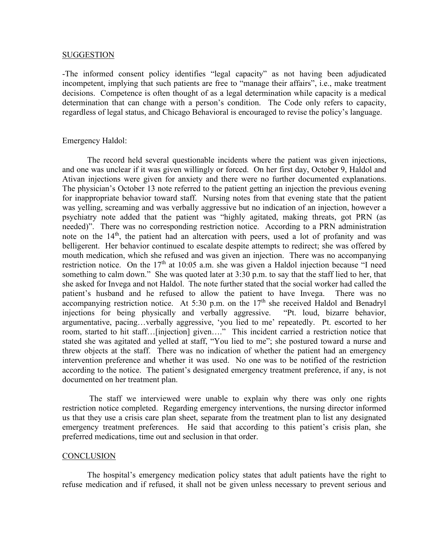#### **SUGGESTION**

-The informed consent policy identifies "legal capacity" as not having been adjudicated incompetent, implying that such patients are free to "manage their affairs", i.e., make treatment decisions. Competence is often thought of as a legal determination while capacity is a medical determination that can change with a person's condition. The Code only refers to capacity, regardless of legal status, and Chicago Behavioral is encouraged to revise the policy's language.

#### Emergency Haldol:

The record held several questionable incidents where the patient was given injections, and one was unclear if it was given willingly or forced. On her first day, October 9, Haldol and Ativan injections were given for anxiety and there were no further documented explanations. The physician's October 13 note referred to the patient getting an injection the previous evening for inappropriate behavior toward staff. Nursing notes from that evening state that the patient was yelling, screaming and was verbally aggressive but no indication of an injection, however a psychiatry note added that the patient was "highly agitated, making threats, got PRN (as needed)". There was no corresponding restriction notice. According to a PRN administration note on the 14<sup>th</sup>, the patient had an altercation with peers, used a lot of profanity and was belligerent. Her behavior continued to escalate despite attempts to redirect; she was offered by mouth medication, which she refused and was given an injection. There was no accompanying restriction notice. On the  $17<sup>th</sup>$  at 10:05 a.m. she was given a Haldol injection because "I need something to calm down." She was quoted later at 3:30 p.m. to say that the staff lied to her, that she asked for Invega and not Haldol. The note further stated that the social worker had called the patient's husband and he refused to allow the patient to have Invega. There was no accompanying restriction notice. At 5:30 p.m. on the  $17<sup>th</sup>$  she received Haldol and Benadryl injections for being physically and verbally aggressive. "Pt. loud, bizarre behavior, argumentative, pacing…verbally aggressive, 'you lied to me' repeatedly. Pt. escorted to her room, started to hit staff…[injection] given…." This incident carried a restriction notice that stated she was agitated and yelled at staff, "You lied to me"; she postured toward a nurse and threw objects at the staff. There was no indication of whether the patient had an emergency intervention preference and whether it was used. No one was to be notified of the restriction according to the notice. The patient's designated emergency treatment preference, if any, is not documented on her treatment plan.

The staff we interviewed were unable to explain why there was only one rights restriction notice completed. Regarding emergency interventions, the nursing director informed us that they use a crisis care plan sheet, separate from the treatment plan to list any designated emergency treatment preferences. He said that according to this patient's crisis plan, she preferred medications, time out and seclusion in that order.

#### **CONCLUSION**

The hospital's emergency medication policy states that adult patients have the right to refuse medication and if refused, it shall not be given unless necessary to prevent serious and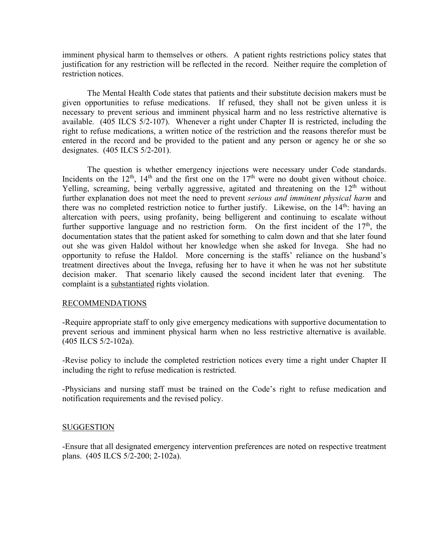imminent physical harm to themselves or others. A patient rights restrictions policy states that justification for any restriction will be reflected in the record. Neither require the completion of restriction notices.

The Mental Health Code states that patients and their substitute decision makers must be given opportunities to refuse medications. If refused, they shall not be given unless it is necessary to prevent serious and imminent physical harm and no less restrictive alternative is available. (405 ILCS 5/2-107). Whenever a right under Chapter II is restricted, including the right to refuse medications, a written notice of the restriction and the reasons therefor must be entered in the record and be provided to the patient and any person or agency he or she so designates. (405 ILCS 5/2-201).

The question is whether emergency injections were necessary under Code standards. Incidents on the  $12<sup>th</sup>$ ,  $14<sup>th</sup>$  and the first one on the  $17<sup>th</sup>$  were no doubt given without choice. Yelling, screaming, being verbally aggressive, agitated and threatening on the 12<sup>th</sup> without further explanation does not meet the need to prevent *serious and imminent physical harm* and there was no completed restriction notice to further justify. Likewise, on the  $14<sup>th</sup>$ : having an altercation with peers, using profanity, being belligerent and continuing to escalate without further supportive language and no restriction form. On the first incident of the  $17<sup>th</sup>$ , the documentation states that the patient asked for something to calm down and that she later found out she was given Haldol without her knowledge when she asked for Invega. She had no opportunity to refuse the Haldol. More concerning is the staffs' reliance on the husband's treatment directives about the Invega, refusing her to have it when he was not her substitute decision maker. That scenario likely caused the second incident later that evening. The complaint is a substantiated rights violation.

## RECOMMENDATIONS

-Require appropriate staff to only give emergency medications with supportive documentation to prevent serious and imminent physical harm when no less restrictive alternative is available. (405 ILCS 5/2-102a).

-Revise policy to include the completed restriction notices every time a right under Chapter II including the right to refuse medication is restricted.

-Physicians and nursing staff must be trained on the Code's right to refuse medication and notification requirements and the revised policy.

## SUGGESTION

-Ensure that all designated emergency intervention preferences are noted on respective treatment plans. (405 ILCS 5/2-200; 2-102a).